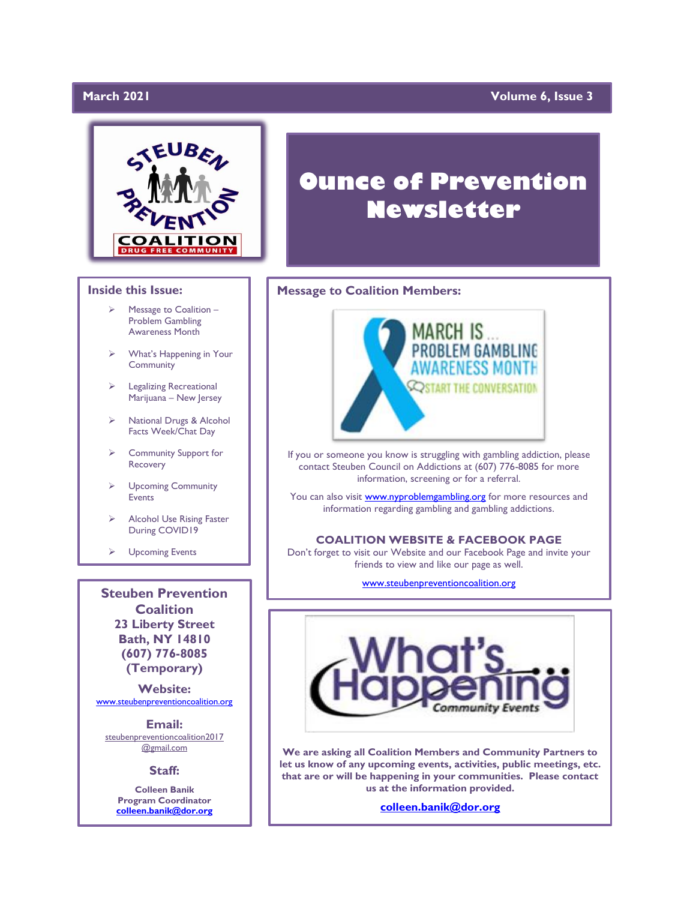### March 2021

### **Yolume 6, Issue 3**



### **Inside this Issue:**

- Message to Coalition -Problem Gambling Awareness Month
- ➢ What's Happening in Your Community
- ➢ Legalizing Recreational Marijuana – New Jersey
- ➢ National Drugs & Alcohol Facts Week/Chat Day
- ➢ Community Support for Recovery
- ➢ Upcoming Community Events
- ➢ Alcohol Use Rising Faster During COVID19
- ➢ Upcoming Events

**Steuben Prevention Coalition 23 Liberty Street Bath, NY 14810 (607) 776-8085 (Temporary)**

**Website:**  [www.steubenpreventioncoalition.org](http://www.steubenpreventioncoalition.org/)

**Email:**  steubenpreventioncoalition2017 @gmail.com

### **Staff:**

**Colleen Banik Program Coordinator [colleen.banik@dor.org](mailto:colleen.banik@dor.org)**

# **Ounce of Prevention Newsletter**

### **Message to Coalition Members:**



If you or someone you know is struggling with gambling addiction, please contact Steuben Council on Addictions at (607) 776-8085 for more information, screening or for a referral.

You can also visit **www.nyproblemgambling.org** for more resources and information regarding gambling and gambling addictions.

### **COALITION WEBSITE & FACEBOOK PAGE**

Don't forget to visit our Website and our Facebook Page and invite your friends to view and like our page as well.

[www.steubenpreventioncoalition.org](http://www.steubenpreventioncoalition.org/)



**We are asking all Coalition Members and Community Partners to let us know of any upcoming events, activities, public meetings, etc. that are or will be happening in your communities. Please contact us at the information provided.**

**[colleen.banik@dor.org](mailto:colleen.banik@dor.org)**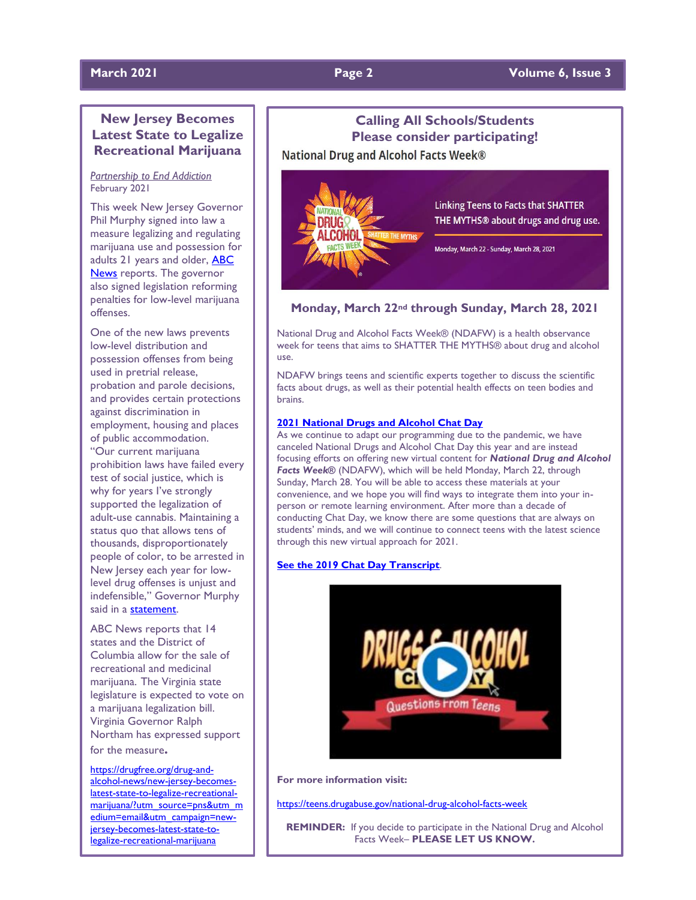### **March 2021 Page 2 Volume 6, Issue 3**

### **New Jersey Becomes Latest State to Legalize Recreational Marijuana**

### *Partnership to End Addiction* February 2021

This week New Jersey Governor Phil Murphy signed into law a measure legalizing and regulating marijuana use and possession for adults 21 years and older, **ABC** [News](https://abcnews.go.com/Politics/jersey-legalizes-recreational-marijuana/story?id=76049798) reports. The governor also signed legislation reforming penalties for low-level marijuana offenses.

One of the new laws prevents low-level distribution and possession offenses from being used in pretrial release, probation and parole decisions, and provides certain protections against discrimination in employment, housing and places of public accommodation. "Our current marijuana prohibition laws have failed every test of social justice, which is why for years I've strongly supported the legalization of adult-use cannabis. Maintaining a status quo that allows tens of thousands, disproportionately people of color, to be arrested in New Jersey each year for lowlevel drug offenses is unjust and indefensible," Governor Murphy said in a [statement.](https://www.nj.gov/governor/news/news/562021/20210222a.shtml)

ABC News reports that 14 states and the District of Columbia allow for the sale of recreational and medicinal marijuana. The Virginia state legislature is expected to vote on a marijuana legalization bill. Virginia Governor Ralph Northam has expressed support for the measure**.**

[https://drugfree.org/drug-and](https://drugfree.org/drug-and-alcohol-news/new-jersey-becomes-latest-state-to-legalize-recreational-marijuana/?utm_source=pns&utm_medium=email&utm_campaign=new-jersey-becomes-latest-state-to-legalize-recreational-marijuana)[alcohol-news/new-jersey-becomes](https://drugfree.org/drug-and-alcohol-news/new-jersey-becomes-latest-state-to-legalize-recreational-marijuana/?utm_source=pns&utm_medium=email&utm_campaign=new-jersey-becomes-latest-state-to-legalize-recreational-marijuana)[latest-state-to-legalize-recreational](https://drugfree.org/drug-and-alcohol-news/new-jersey-becomes-latest-state-to-legalize-recreational-marijuana/?utm_source=pns&utm_medium=email&utm_campaign=new-jersey-becomes-latest-state-to-legalize-recreational-marijuana)[marijuana/?utm\\_source=pns&utm\\_m](https://drugfree.org/drug-and-alcohol-news/new-jersey-becomes-latest-state-to-legalize-recreational-marijuana/?utm_source=pns&utm_medium=email&utm_campaign=new-jersey-becomes-latest-state-to-legalize-recreational-marijuana) [edium=email&utm\\_campaign=new](https://drugfree.org/drug-and-alcohol-news/new-jersey-becomes-latest-state-to-legalize-recreational-marijuana/?utm_source=pns&utm_medium=email&utm_campaign=new-jersey-becomes-latest-state-to-legalize-recreational-marijuana)[jersey-becomes-latest-state-to](https://drugfree.org/drug-and-alcohol-news/new-jersey-becomes-latest-state-to-legalize-recreational-marijuana/?utm_source=pns&utm_medium=email&utm_campaign=new-jersey-becomes-latest-state-to-legalize-recreational-marijuana)[legalize-recreational-marijuana](https://drugfree.org/drug-and-alcohol-news/new-jersey-becomes-latest-state-to-legalize-recreational-marijuana/?utm_source=pns&utm_medium=email&utm_campaign=new-jersey-becomes-latest-state-to-legalize-recreational-marijuana)

## **Calling All Schools/Students Please consider participating!**

**National Drug and Alcohol Facts Week®** 



**Linking Teens to Facts that SHATTER** THE MYTHS® about drugs and drug use.

Monday, March 22 - Sunday, March 28, 2021

### **Monday, March 22nd through Sunday, March 28, 2021**

National Drug and Alcohol Facts Week® (NDAFW) is a health observance week for teens that aims to SHATTER THE MYTHS® about drug and alcohol use.

NDAFW brings teens and scientific experts together to discuss the scientific facts about drugs, as well as their potential health effects on teen bodies and brains.

### **[2021 National Drugs and Alcohol Chat Day](https://teens.drugabuse.gov/national-drug-alcohol-facts-week/chat-with-scientists)**

As we continue to adapt our programming due to the pandemic, we have canceled National Drugs and Alcohol Chat Day this year and are instead focusing efforts on offering new virtual content for *National Drug and Alcohol Facts Week®* (NDAFW), which will be held Monday, March 22, through Sunday, March 28. You will be able to access these materials at your convenience, and we hope you will find ways to integrate them into your inperson or remote learning environment. After more than a decade of conducting Chat Day, we know there are some questions that are always on students' minds, and we will continue to connect teens with the latest science through this new virtual approach for 2021.

### **[See the 2019 Chat Day Transcript](https://teens.drugabuse.gov/national-drug-alcohol-facts-week/chat-with-scientists/search?year=2019)**.



**For more information visit:** 

<https://teens.drugabuse.gov/national-drug-alcohol-facts-week>

**REMINDER:** If you decide to participate in the National Drug and Alcohol Facts Week– **PLEASE LET US KNOW.**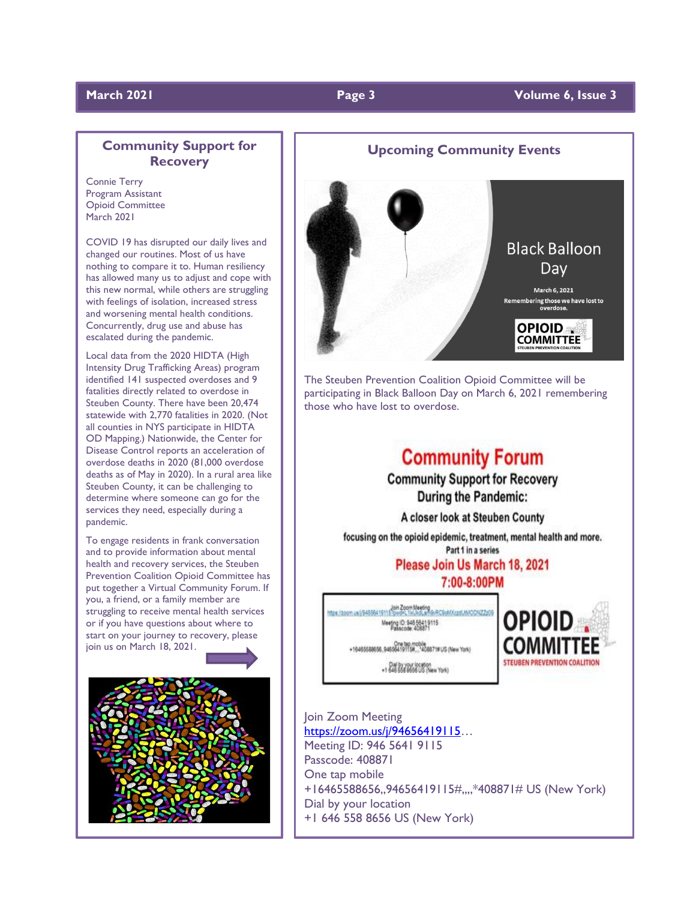### **March 2021 Page 3 Volume 6, Issue 3**

### **Community Support for Recovery**

Connie Terry Program Assistant Opioid Committee March 2021

COVID 19 has disrupted our daily lives and changed our routines. Most of us have nothing to compare it to. Human resiliency has allowed many us to adjust and cope with this new normal, while others are struggling with feelings of isolation, increased stress and worsening mental health conditions. Concurrently, drug use and abuse has escalated during the pandemic.

Local data from the 2020 HIDTA (High Intensity Drug Trafficking Areas) program identified 141 suspected overdoses and 9 fatalities directly related to overdose in Steuben County. There have been 20,474 statewide with 2,770 fatalities in 2020. (Not all counties in NYS participate in HIDTA OD Mapping.) Nationwide, the Center for Disease Control reports an acceleration of overdose deaths in 2020 (81,000 overdose deaths as of May in 2020). In a rural area like Steuben County, it can be challenging to determine where someone can go for the services they need, especially during a pandemic.

To engage residents in frank conversation and to provide information about mental health and recovery services, the Steuben Prevention Coalition Opioid Committee has put together a Virtual Community Forum. If you, a friend, or a family member are struggling to receive mental health services or if you have questions about where to start on your journey to recovery, please join us on March 18, 2021.



**Upcoming Community Events Black Balloon** Day March 6, 2021 ering those we have lost to<br>overdose. OPIOID<sub>\*</sub> **COMMITTEE** 

The Steuben Prevention Coalition Opioid Committee will be participating in Black Balloon Day on March 6, 2021 remembering those who have lost to overdose.

## **Community Forum**

**Community Support for Recovery During the Pandemic:** 

A closer look at Steuben County

focusing on the opioid epidemic, treatment, mental health and more. Part 1 in a series

> Please Join Us March 18, 2021 7:00-8:00PM

https://zoom.us/j94556419115?pwd=L1ki.kdLa/h9xRC9xMXzadJMAODNZZz09

Meeting ID: 946 5641 9115

+16465588556\_94556419115#...\*408871#US (New York)

+1 646 664 6666 US (New York)



Join Zoom Meeting [https://zoom.us/j/94656419115](https://zoom.us/j/94656419115?fbclid=IwAR2SvWrIMf3YNrXKitYTAuNcKnRPZLbfEntR0jh87Tq5U8hKuhzxfLDpHX8)… Meeting ID: 946 5641 9115 Passcode: 408871 One tap mobile +16465588656,,94656419115#,,,,\*408871# US (New York) Dial by your location +1 646 558 8656 US (New York)